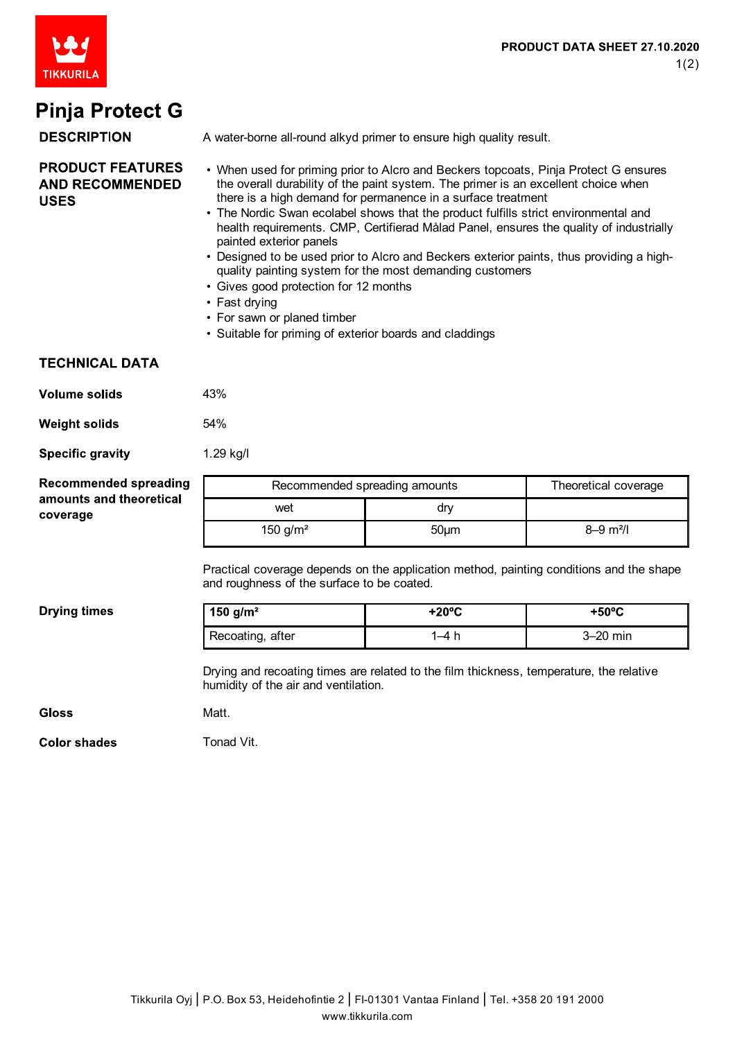

# **Pinja Protect G**

#### **DESCRIPTION**

A water-borne all-round alkyd primer to ensure high quality result.

- **PRODUCT FEATURES AND RECOMMENDED USES**
- When used for priming prior to Alcro and Beckers topcoats, Pinja Protect G ensures the overall durability of the paint system. The primer is an excellent choice when there is a high demand for permanence in a surface treatment
- The Nordic Swan ecolabel shows that the product fulfills strict environmental and health requirements. CMP, Certifierad Målad Panel, ensures the quality of industrially painted exterior panels
- Designed to be used prior to Alcro and Beckers exterior paints, thus providing a highquality painting system for the most demanding customers
- Gives good protection for 12 months
- Fast drying
- For sawn or planed timber
- Suitable for priming of exterior boards and claddings

#### **TECHNICAL DATA**

| <b>Volume solids</b> | 43% |
|----------------------|-----|
| <b>Weight solids</b> | 54% |

**Specific gravity** 1.29 kg/l

| <b>Recommended spreading</b>        | Recommended spreading amounts |      | Theoretical coverage      |
|-------------------------------------|-------------------------------|------|---------------------------|
| amounts and theoretical<br>coverage | wet                           | dry  |                           |
|                                     | 150 $q/m^2$                   | 50um | $8 - 9$ m <sup>2</sup> /l |

Practical coverage depends on the application method, painting conditions and the shape and roughness of the surface to be coated.

**Drying times** 

| 150 g/m <sup>2</sup> | +20°C | $+50^{\circ}$ C |
|----------------------|-------|-----------------|
| Recoating, after     |       | $3-20$ min      |

Drying and recoating times are related to the film thickness, temperature, the relative humidity of the air and ventilation.

Gloss

**Matt** 

**Color shades** 

Tonad Vit.